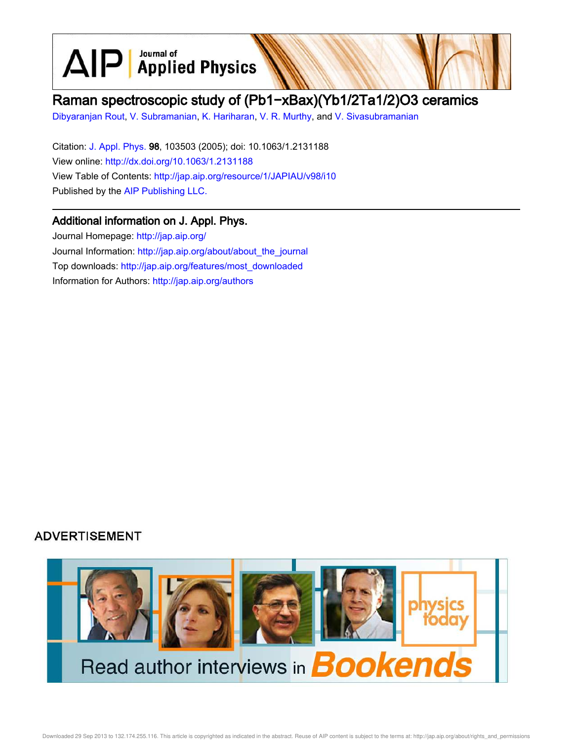$\text{AlP}$  Applied Physics

# Raman spectroscopic study of (Pb1−xBax)(Yb1/2Ta1/2)O3 ceramics

Dibyaranjan Rout, V. Subramanian, K. Hariharan, V. R. Murthy, and V. Sivasubramanian

Citation: J. Appl. Phys. 98, 103503 (2005); doi: 10.1063/1.2131188 View online: http://dx.doi.org/10.1063/1.2131188 View Table of Contents: http://jap.aip.org/resource/1/JAPIAU/v98/i10 Published by the AIP Publishing LLC.

## Additional information on J. Appl. Phys.

Journal Homepage: http://jap.aip.org/ Journal Information: http://jap.aip.org/about/about\_the\_journal Top downloads: http://jap.aip.org/features/most\_downloaded Information for Authors: http://jap.aip.org/authors

# **ADVERTISEMENT**

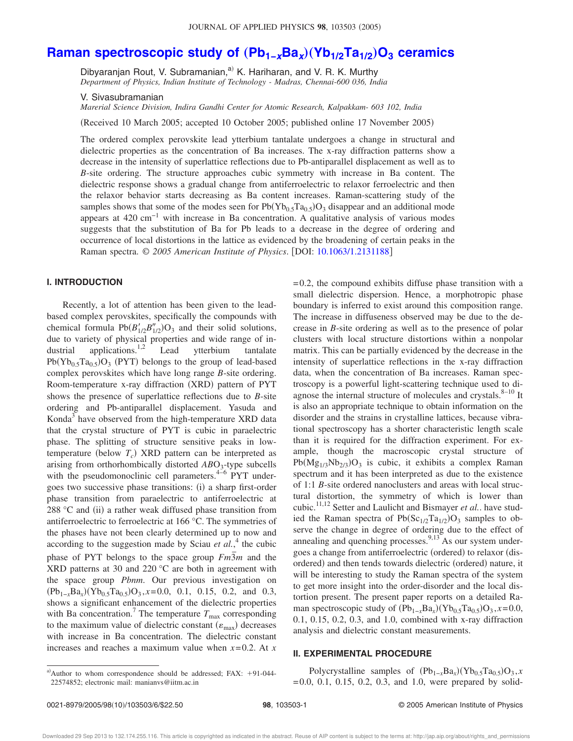# **Raman spectroscopic study of** "**Pb1−xBa<sup>x</sup>** …"**Yb1/2Ta1/2**…**O<sup>3</sup> ceramics**

Dibyaranjan Rout, V. Subramanian,<sup>a)</sup> K. Hariharan, and V. R. K. Murthy *Department of Physics, Indian Institute of Technology - Madras, Chennai-600 036, India*

V. Sivasubramanian

*Marerial Science Division, Indira Gandhi Center for Atomic Research, Kalpakkam- 603 102, India*

(Received 10 March 2005; accepted 10 October 2005; published online 17 November 2005)

The ordered complex perovskite lead ytterbium tantalate undergoes a change in structural and dielectric properties as the concentration of Ba increases. The x-ray diffraction patterns show a decrease in the intensity of superlattice reflections due to Pb-antiparallel displacement as well as to *B*-site ordering. The structure approaches cubic symmetry with increase in Ba content. The dielectric response shows a gradual change from antiferroelectric to relaxor ferroelectric and then the relaxor behavior starts decreasing as Ba content increases. Raman-scattering study of the samples shows that some of the modes seen for  $Pb(Yb_{0.5}Ta_{0.5})O_3$  disappear and an additional mode appears at  $420 \text{ cm}^{-1}$  with increase in Ba concentration. A qualitative analysis of various modes suggests that the substitution of Ba for Pb leads to a decrease in the degree of ordering and occurrence of local distortions in the lattice as evidenced by the broadening of certain peaks in the Raman spectra. © 2005 American Institute of Physics. [DOI: 10.1063/1.2131188]

### **I. INTRODUCTION**

Recently, a lot of attention has been given to the leadbased complex perovskites, specifically the compounds with chemical formula  $Pb(B'_{1/2}B''_{1/2})O_3$  and their solid solutions, due to variety of physical properties and wide range of industrial applications.<sup>1,2</sup> Lead ytterbium tantalate  $Pb(Yb_{0.5}Ta_{0.5})O_3$  (PYT) belongs to the group of lead-based complex perovskites which have long range *B*-site ordering. Room-temperature x-ray diffraction (XRD) pattern of PYT shows the presence of superlattice reflections due to *B*-site ordering and Pb-antiparallel displacement. Yasuda and Konda<sup>3</sup> have observed from the high-temperature XRD data that the crystal structure of PYT is cubic in paraelectric phase. The splitting of structure sensitive peaks in lowtemperature (below  $T_c$ ) XRD pattern can be interpreted as arising from orthorhombically distorted *AB*O<sub>3</sub>-type subcells with the pseudomonoclinic cell parameters. $4-6$  PYT undergoes two successive phase transitions: (i) a sharp first-order phase transition from paraelectric to antiferroelectric at 288  $\degree$ C and (ii) a rather weak diffused phase transition from antiferroelectric to ferroelectric at 166 °C. The symmetries of the phases have not been clearly determined up to now and according to the suggestion made by Sciau  $et al.<sup>4</sup>$  the cubic phase of PYT belongs to the space group  $Fm\overline{3}m$  and the XRD patterns at 30 and 220  $^{\circ}$ C are both in agreement with the space group *Pbnm*. Our previous investigation on  $(Pb_{1-x}Ba_x)(Yb_{0.5}Ta_{0.5})O_3$ ,  $x=0.0$ , 0.1, 0.15, 0.2, and 0.3, shows a significant enhancement of the dielectric properties with Ba concentration.<sup>7</sup> The temperature  $T_{\text{max}}$  corresponding to the maximum value of dielectric constant  $(\varepsilon_{\text{max}})$  decreases with increase in Ba concentration. The dielectric constant increases and reaches a maximum value when *x*=0.2. At *x*

 $=0.2$ , the compound exhibits diffuse phase transition with a small dielectric dispersion. Hence, a morphotropic phase boundary is inferred to exist around this composition range. The increase in diffuseness observed may be due to the decrease in *B*-site ordering as well as to the presence of polar clusters with local structure distortions within a nonpolar matrix. This can be partially evidenced by the decrease in the intensity of superlattice reflections in the x-ray diffraction data, when the concentration of Ba increases. Raman spectroscopy is a powerful light-scattering technique used to diagnose the internal structure of molecules and crystals. $8-10$  It is also an appropriate technique to obtain information on the disorder and the strains in crystalline lattices, because vibrational spectroscopy has a shorter characteristic length scale than it is required for the diffraction experiment. For example, though the macroscopic crystal structure of  $Pb(Mg_{1/3}Nb_{2/3})O_3$  is cubic, it exhibits a complex Raman spectrum and it has been interpreted as due to the existence of 1:1 *B*-site ordered nanoclusters and areas with local structural distortion, the symmetry of which is lower than cubic.11,12 Setter and Laulicht and Bismayer *et al.*. have studied the Raman spectra of  $Pb(Sc_{1/2}Ta_{1/2})O_3$  samples to observe the change in degree of ordering due to the effect of annealing and quenching processes. $9,13$ <sup> $\overline{)}$ </sup>As our system undergoes a change from antiferroelectric (ordered) to relaxor (disordered) and then tends towards dielectric (ordered) nature, it will be interesting to study the Raman spectra of the system to get more insight into the order-disorder and the local distortion present. The present paper reports on a detailed Raman spectroscopic study of  $(Pb_{1-x}Ba_x)(Yb_{0.5}Ta_{0.5})O_3$ , *x*=0.0, 0.1, 0.15, 0.2, 0.3, and 1.0, combined with x-ray diffraction analysis and dielectric constant measurements.

#### **II. EXPERIMENTAL PROCEDURE**

a) Author to whom correspondence should be addressed; FAX:  $+91-044-$ 22574852; electronic mail: manianvs@iitm.ac.in

Polycrystalline samples of  $(Pb_{1-x}Ba_x)(Yb_{0.5}Ta_{0.5})O_3$ ,*x*  $=0.0, 0.1, 0.15, 0.2, 0.3,$  and 1.0, were prepared by solid-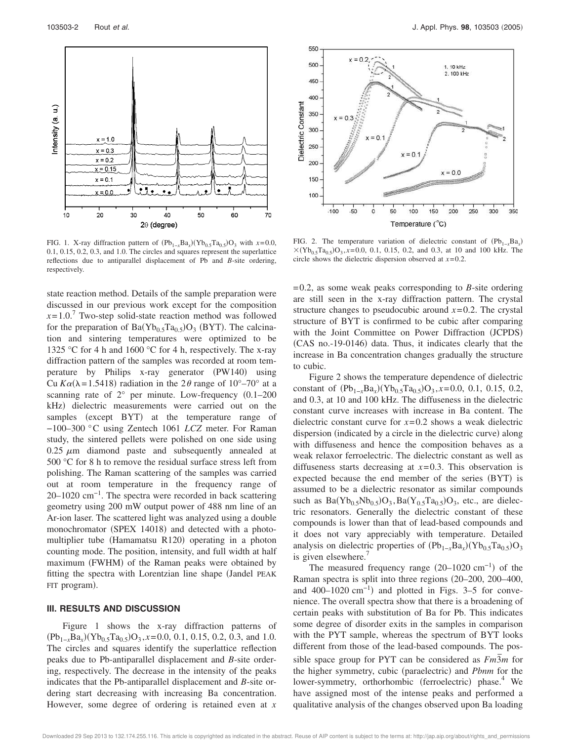

FIG. 1. X-ray diffraction pattern of  $(Pb_{1-x}Ba_x)(Yb_{0.5}Ta_{0.5})O_3$  with  $x=0.0$ , 0.1, 0.15, 0.2, 0.3, and 1.0. The circles and squares represent the superlattice reflections due to antiparallel displacement of Pb and *B*-site ordering, respectively.

state reaction method. Details of the sample preparation were discussed in our previous work except for the composition  $x=1.0$ .<sup>7</sup> Two-step solid-state reaction method was followed for the preparation of  $Ba(Yb_{0.5}Ta_{0.5})O_3$  (BYT). The calcination and sintering temperatures were optimized to be 1325 °C for 4 h and 1600 °C for 4 h, respectively. The x-ray diffraction pattern of the samples was recorded at room temperature by Philips x-ray generator (PW140) using Cu  $K\alpha(\lambda = 1.5418)$  radiation in the 2 $\theta$  range of 10°–70° at a scanning rate of  $2^{\circ}$  per minute. Low-frequency  $(0.1–200)$ kHz) dielectric measurements were carried out on the samples (except BYT) at the temperature range of −100–300 °C using Zentech 1061 *LCZ* meter. For Raman study, the sintered pellets were polished on one side using  $0.25 \mu m$  diamond paste and subsequently annealed at 500 °C for 8 h to remove the residual surface stress left from polishing. The Raman scattering of the samples was carried out at room temperature in the frequency range of 20–1020 cm<sup>-1</sup>. The spectra were recorded in back scattering geometry using 200 mW output power of 488 nm line of an Ar-ion laser. The scattered light was analyzed using a double monochromator (SPEX 14018) and detected with a photomultiplier tube (Hamamatsu R120) operating in a photon counting mode. The position, intensity, and full width at half maximum (FWHM) of the Raman peaks were obtained by fitting the spectra with Lorentzian line shape Jandel PEAK FIT program).

### **III. RESULTS AND DISCUSSION**

Figure 1 shows the x-ray diffraction patterns of  $(Pb_{1-x}Ba_x)(Yb_{0.5}Ta_{0.5})O_3$ ,  $x=0.0, 0.1, 0.15, 0.2, 0.3$ , and 1.0. The circles and squares identify the superlattice reflection peaks due to Pb-antiparallel displacement and *B*-site ordering, respectively. The decrease in the intensity of the peaks indicates that the Pb-antiparallel displacement and *B*-site ordering start decreasing with increasing Ba concentration. However, some degree of ordering is retained even at *x*



FIG. 2. The temperature variation of dielectric constant of  $(Pb_{1-x}Ba_x)$  $\times$ (Yb<sub>0.5</sub>Ta<sub>0.5</sub>)O<sub>3</sub>, x=0.0, 0.1, 0.15, 0.2, and 0.3, at 10 and 100 kHz. The circle shows the dielectric dispersion observed at *x*=0.2.

=0.2, as some weak peaks corresponding to *B*-site ordering are still seen in the x-ray diffraction pattern. The crystal structure changes to pseudocubic around  $x=0.2$ . The crystal structure of BYT is confirmed to be cubic after comparing with the Joint Committee on Power Diffraction (JCPDS) (CAS no.-19-0146) data. Thus, it indicates clearly that the increase in Ba concentration changes gradually the structure to cubic.

Figure 2 shows the temperature dependence of dielectric constant of  $(Pb_{1-x}Ba_x)(Yb_{0.5}Ta_{0.5})O_3$ , *x*=0.0, 0.1, 0.15, 0.2, and 0.3, at 10 and 100 kHz. The diffuseness in the dielectric constant curve increases with increase in Ba content. The dielectric constant curve for *x*=0.2 shows a weak dielectric dispersion (indicated by a circle in the dielectric curve) along with diffuseness and hence the composition behaves as a weak relaxor ferroelectric. The dielectric constant as well as diffuseness starts decreasing at *x*=0.3. This observation is expected because the end member of the series (BYT) is assumed to be a dielectric resonator as similar compounds such as  $Ba(Yb_{0.5}Nb_{0.5})O_3$ ,  $Ba(Y_{0.5}Ta_{0.5})O_3$ , etc., are dielectric resonators. Generally the dielectric constant of these compounds is lower than that of lead-based compounds and it does not vary appreciably with temperature. Detailed analysis on dielectric properties of  $(Pb_{1-x}Ba_x)(Yb_{0.5}Ta_{0.5})O_3$ is given elsewhere.'

The measured frequency range  $(20-1020 \text{ cm}^{-1})$  of the Raman spectra is split into three regions 20–200, 200–400, and 400–1020  $\text{cm}^{-1}$ ) and plotted in Figs. 3–5 for convenience. The overall spectra show that there is a broadening of certain peaks with substitution of Ba for Pb. This indicates some degree of disorder exits in the samples in comparison with the PYT sample, whereas the spectrum of BYT looks different from those of the lead-based compounds. The possible space group for PYT can be considered as  $Fm\overline{3}m$  for the higher symmetry, cubic (paraelectric) and *Pbnm* for the lower-symmetry, orthorhombic (ferroelectric) phase.<sup>4</sup> We have assigned most of the intense peaks and performed a qualitative analysis of the changes observed upon Ba loading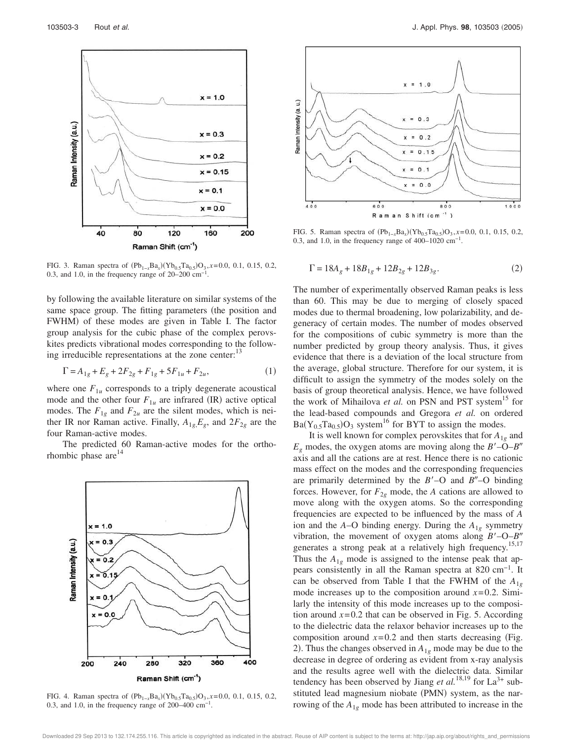

FIG. 3. Raman spectra of  $(Pb_{1-x}Ba_x)(Yb_{0.5}Ta_{0.5})O_3$ ,  $x=0.0, 0.1, 0.15, 0.2$ , 0.3, and 1.0, in the frequency range of  $20-200$  cm<sup>-1</sup>.

by following the available literature on similar systems of the same space group. The fitting parameters (the position and FWHM) of these modes are given in Table I. The factor group analysis for the cubic phase of the complex perovskites predicts vibrational modes corresponding to the following irreducible representations at the zone center:<sup>13</sup>

$$
\Gamma = A_{1g} + E_g + 2F_{2g} + F_{1g} + 5F_{1u} + F_{2u},\tag{1}
$$

where one  $F_{1u}$  corresponds to a triply degenerate acoustical mode and the other four  $F_{1u}$  are infrared (IR) active optical modes. The  $F_{1g}$  and  $F_{2u}$  are the silent modes, which is neither IR nor Raman active. Finally,  $A_{1g}E_g$ , and  $2F_{2g}$  are the four Raman-active modes.

The predicted 60 Raman-active modes for the orthorhombic phase  $are^{14}$ 



FIG. 4. Raman spectra of  $(Pb_{1-x}Ba_x)(Yb_{0.5}Ta_{0.5})O_3$ ,  $x=0.0, 0.1, 0.15, 0.2$ , 0.3, and 1.0, in the frequency range of  $200-400$  cm<sup>-1</sup>.



FIG. 5. Raman spectra of  $(Pb_{1-x}Ba_x)(Yb_{0.5}Ta_{0.5})O_3$ ,  $x=0.0, 0.1, 0.15, 0.2$ , 0.3, and 1.0, in the frequency range of  $400-1020$  cm<sup>-1</sup>.

$$
\Gamma = 18A_g + 18B_{1g} + 12B_{2g} + 12B_{3g}.
$$
 (2)

The number of experimentally observed Raman peaks is less than 60. This may be due to merging of closely spaced modes due to thermal broadening, low polarizability, and degeneracy of certain modes. The number of modes observed for the compositions of cubic symmetry is more than the number predicted by group theory analysis. Thus, it gives evidence that there is a deviation of the local structure from the average, global structure. Therefore for our system, it is difficult to assign the symmetry of the modes solely on the basis of group theoretical analysis. Hence, we have followed the work of Mihailova *et al.* on PSN and PST system<sup>15</sup> for the lead-based compounds and Gregora *et al.* on ordered  $Ba(Y_{0.5}Ta_{0.5})O_3$  system<sup>16</sup> for BYT to assign the modes.

It is well known for complex perovskites that for  $A_{1g}$  and  $E_g$  modes, the oxygen atoms are moving along the  $B'$ –O– $B''$ axis and all the cations are at rest. Hence there is no cationic mass effect on the modes and the corresponding frequencies are primarily determined by the  $B'$ –O and  $B''$ –O binding forces. However, for  $F_{2g}$  mode, the *A* cations are allowed to move along with the oxygen atoms. So the corresponding frequencies are expected to be influenced by the mass of *A* ion and the *A*–O binding energy. During the *A*1*<sup>g</sup>* symmetry vibration, the movement of oxygen atoms along  $B'$ –O– $B''$ generates a strong peak at a relatively high frequency.<sup>15,17</sup> Thus the  $A_{1g}$  mode is assigned to the intense peak that appears consistently in all the Raman spectra at 820 cm−1. It can be observed from Table I that the FWHM of the  $A_{1g}$ mode increases up to the composition around  $x=0.2$ . Similarly the intensity of this mode increases up to the composition around  $x=0.2$  that can be observed in Fig. 5. According to the dielectric data the relaxor behavior increases up to the composition around  $x=0.2$  and then starts decreasing (Fig. 2). Thus the changes observed in  $A_{1g}$  mode may be due to the decrease in degree of ordering as evident from x-ray analysis and the results agree well with the dielectric data. Similar tendency has been observed by Jiang *et al.*<sup>18,19</sup> for  $La^{3+}$  substituted lead magnesium niobate (PMN) system, as the narrowing of the  $A_{1g}$  mode has been attributed to increase in the

Downloaded 29 Sep 2013 to 132.174.255.116. This article is copyrighted as indicated in the abstract. Reuse of AIP content is subject to the terms at: http://jap.aip.org/about/rights\_and\_permissions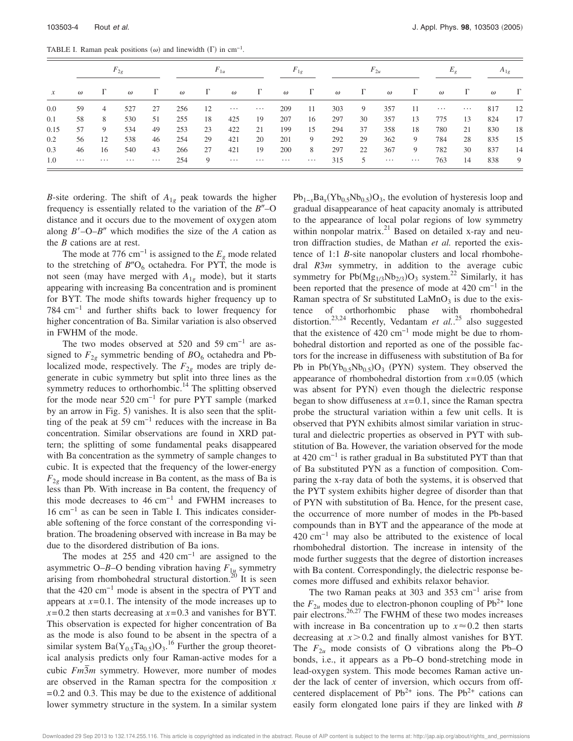TABLE I. Raman peak positions  $(\omega)$  and linewidth  $(\Gamma)$  in cm<sup>-1</sup>.

| $\mathcal{X}$ | $F_{2g}$ |                |          |          | $F_{1u}$ |          |          |          | $F_{1g}$ |          | $F_{2u}$ |          |          |          |          |          | $A_{1g}$ |          |
|---------------|----------|----------------|----------|----------|----------|----------|----------|----------|----------|----------|----------|----------|----------|----------|----------|----------|----------|----------|
|               | $\omega$ | $\Gamma$       | $\omega$ | Г        | $\omega$ | $\Gamma$ | $\omega$ | $\Gamma$ | $\omega$ | $\Gamma$ | $\omega$ | $\Gamma$ | $\omega$ | $\Gamma$ | $\omega$ | Г        | $\omega$ | $\Gamma$ |
| 0.0           | 59       | $\overline{4}$ | 527      | 27       | 256      | 12       | $\cdots$ | $\cdots$ | 209      | 11       | 303      | 9        | 357      | -11      | $\cdots$ | $\cdots$ | 817      | -12      |
| 0.1           | 58       | 8              | 530      | 51       | 255      | 18       | 425      | 19       | 207      | 16       | 297      | 30       | 357      | 13       | 775      | 13       | 824      | 17       |
| 0.15          | 57       | 9              | 534      | 49       | 253      | 23       | 422      | 21       | 199      | 15       | 294      | 37       | 358      | 18       | 780      | 21       | 830      | 18       |
| 0.2           | 56       | 12             | 538      | 46       | 254      | 29       | 421      | 20       | 201      | 9        | 292      | 29       | 362      | 9        | 784      | 28       | 835      | 15       |
| 0.3           | 46       | 16             | 540      | 43       | 266      | 27       | 421      | 19       | 200      | 8        | 297      | 22       | 367      | 9        | 782      | 30       | 837      | 14       |
| 1.0           | $\cdots$ | $\cdots$       | $\cdots$ | $\cdots$ | 254      | -9       | $\cdots$ | $\cdots$ | $\cdots$ | $\cdots$ | 315      | 5        | $\cdots$ | $\cdots$ | 763      | 14       | 838      | 9        |

*B*-site ordering. The shift of  $A_{1g}$  peak towards the higher frequency is essentially related to the variation of the  $B''$ -O distance and it occurs due to the movement of oxygen atom along  $B'$ –O– $B''$  which modifies the size of the  $\overline{A}$  cation as the *B* cations are at rest.

The mode at 776 cm<sup>-1</sup> is assigned to the  $E_g$  mode related to the stretching of  $B''O_6$  octahedra. For PYT, the mode is not seen (may have merged with  $A_{1g}$  mode), but it starts appearing with increasing Ba concentration and is prominent for BYT. The mode shifts towards higher frequency up to 784 cm−1 and further shifts back to lower frequency for higher concentration of Ba. Similar variation is also observed in FWHM of the mode.

The two modes observed at 520 and 59 cm−1 are assigned to  $F_{2g}$  symmetric bending of  $B\text{O}_6$  octahedra and Pblocalized mode, respectively. The  $F_{2g}$  modes are triply degenerate in cubic symmetry but split into three lines as the symmetry reduces to orthorhombic.<sup>14</sup> The splitting observed for the mode near  $520 \text{ cm}^{-1}$  for pure PYT sample (marked by an arrow in Fig. 5) vanishes. It is also seen that the splitting of the peak at 59 cm<sup>-1</sup> reduces with the increase in Ba concentration. Similar observations are found in XRD pattern; the splitting of some fundamental peaks disappeared with Ba concentration as the symmetry of sample changes to cubic. It is expected that the frequency of the lower-energy  $F_{2g}$  mode should increase in Ba content, as the mass of Ba is less than Pb. With increase in Ba content, the frequency of this mode decreases to  $46 \text{ cm}^{-1}$  and FWHM increases to 16 cm−1 as can be seen in Table I. This indicates considerable softening of the force constant of the corresponding vibration. The broadening observed with increase in Ba may be due to the disordered distribution of Ba ions.

The modes at 255 and 420 cm<sup>-1</sup> are assigned to the asymmetric O–*B*–O bending vibration having *F*1*<sup>u</sup>* symmetry arising from rhombohedral structural distortion.<sup>20</sup> It is seen that the 420 cm−1 mode is absent in the spectra of PYT and appears at  $x=0.1$ . The intensity of the mode increases up to  $x=0.2$  then starts decreasing at  $x=0.3$  and vanishes for BYT. This observation is expected for higher concentration of Ba as the mode is also found to be absent in the spectra of a similar system  $Ba(Y_{0.5}Ta_{0.5})O_3$ .<sup>16</sup> Further the group theoretical analysis predicts only four Raman-active modes for a cubic  $Fm\overline{3}m$  symmetry. However, more number of modes are observed in the Raman spectra for the composition *x*  $=0.2$  and 0.3. This may be due to the existence of additional lower symmetry structure in the system. In a similar system

 $Pb_{1-x}Ba_x(Yb_{0.5}Nb_{0.5})O_3$ , the evolution of hysteresis loop and gradual disappearance of heat capacity anomaly is attributed to the appearance of local polar regions of low symmetry within nonpolar matrix. $^{21}$  Based on detailed x-ray and neutron diffraction studies, de Mathan *et al.* reported the existence of 1:1 *B*-site nanopolar clusters and local rhombohedral *R*3*m* symmetry, in addition to the average cubic symmetry for  $Pb(Mg_{1/3}Nb_{2/3})O_3$  system.<sup>22</sup> Similarly, it has been reported that the presence of mode at 420 cm−1 in the Raman spectra of Sr substituted  $\text{LaMnO}_3$  is due to the existence of orthorhombic phase with rhombohedral distortion.23,24 Recently, Vedantam *et al.*. <sup>25</sup> also suggested that the existence of 420  $cm^{-1}$  mode might be due to rhombohedral distortion and reported as one of the possible factors for the increase in diffuseness with substitution of Ba for Pb in  $Pb(Yb_{0.5}Nb_{0.5})O_3$  (PYN) system. They observed the appearance of rhombohedral distortion from  $x=0.05$  (which was absent for PYN) even though the dielectric response began to show diffuseness at *x*=0.1, since the Raman spectra probe the structural variation within a few unit cells. It is observed that PYN exhibits almost similar variation in structural and dielectric properties as observed in PYT with substitution of Ba. However, the variation observed for the mode at 420 cm−1 is rather gradual in Ba substituted PYT than that of Ba substituted PYN as a function of composition. Comparing the x-ray data of both the systems, it is observed that the PYT system exhibits higher degree of disorder than that of PYN with substitution of Ba. Hence, for the present case, the occurrence of more number of modes in the Pb-based compounds than in BYT and the appearance of the mode at 420 cm−1 may also be attributed to the existence of local rhombohedral distortion. The increase in intensity of the mode further suggests that the degree of distortion increases with Ba content. Correspondingly, the dielectric response becomes more diffused and exhibits relaxor behavior.

The two Raman peaks at 303 and 353 cm−1 arise from the  $F_{2u}$  modes due to electron-phonon coupling of Pb<sup>2+</sup> lone pair electrons.<sup>26,27</sup> The FWHM of these two modes increases with increase in Ba concentration up to  $x \approx 0.2$  then starts decreasing at  $x > 0.2$  and finally almost vanishes for BYT. The  $F_{2u}$  mode consists of O vibrations along the Pb–O bonds, i.e., it appears as a Pb–O bond-stretching mode in lead-oxygen system. This mode becomes Raman active under the lack of center of inversion, which occurs from offcentered displacement of  $Pb^{2+}$  ions. The  $Pb^{2+}$  cations can easily form elongated lone pairs if they are linked with *B*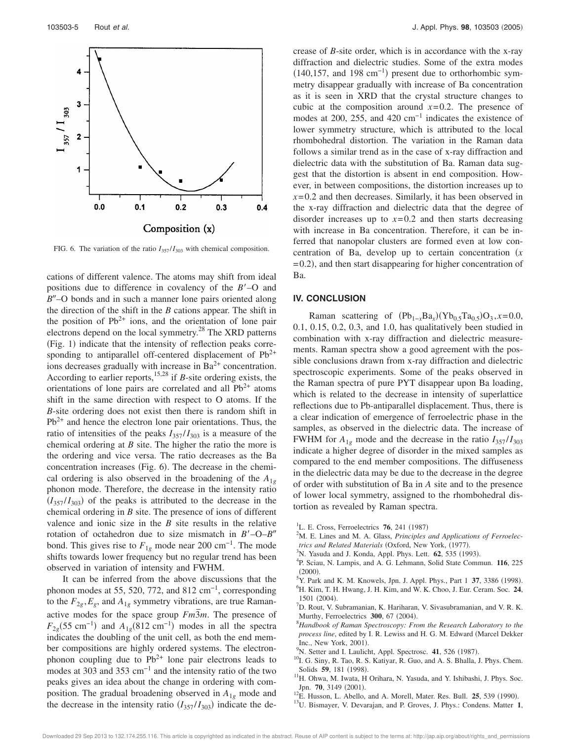

FIG. 6. The variation of the ratio  $I_{357}/I_{303}$  with chemical composition.

cations of different valence. The atoms may shift from ideal positions due to difference in covalency of the *B*–O and B"–O bonds and in such a manner lone pairs oriented along the direction of the shift in the *B* cations appear. The shift in the position of  $Pb^{2+}$  ions, and the orientation of lone pair electrons depend on the local symmetry.<sup>28</sup> The XRD patterns (Fig. 1) indicate that the intensity of reflection peaks corresponding to antiparallel off-centered displacement of  $Pb^{2+}$ ions decreases gradually with increase in  $Ba^{2+}$  concentration. According to earlier reports,<sup>15,28</sup> if *B*-site ordering exists, the orientations of lone pairs are correlated and all  $Pb^{2+}$  atoms shift in the same direction with respect to O atoms. If the *B*-site ordering does not exist then there is random shift in  $Pb^{2+}$  and hence the electron lone pair orientations. Thus, the ratio of intensities of the peaks  $I_{357}/I_{303}$  is a measure of the chemical ordering at *B* site. The higher the ratio the more is the ordering and vice versa. The ratio decreases as the Ba concentration increases (Fig. 6). The decrease in the chemical ordering is also observed in the broadening of the  $A_{1g}$ phonon mode. Therefore, the decrease in the intensity ratio  $(I_{357}/I_{303})$  of the peaks is attributed to the decrease in the chemical ordering in *B* site. The presence of ions of different valence and ionic size in the *B* site results in the relative rotation of octahedron due to size mismatch in  $B'$ –O– $B''$ bond. This gives rise to  $F_{1g}$  mode near 200 cm<sup>-1</sup>. The mode shifts towards lower frequency but no regular trend has been observed in variation of intensity and FWHM.

It can be inferred from the above discussions that the phonon modes at 55, 520, 772, and 812 cm<sup>-1</sup>, corresponding to the  $F_{2g}$ ,  $E_g$ , and  $A_{1g}$  symmetry vibrations, are true Ramanactive modes for the space group  $Fm\overline{3}m$ . The presence of  $F_{2g}$ (55 cm<sup>-1</sup>) and  $A_{1g}$ (812 cm<sup>-1</sup>) modes in all the spectra indicates the doubling of the unit cell, as both the end member compositions are highly ordered systems. The electronphonon coupling due to  $Pb^{2+}$  lone pair electrons leads to modes at 303 and 353 cm<sup>-1</sup> and the intensity ratio of the two peaks gives an idea about the change in ordering with composition. The gradual broadening observed in *A*1*<sup>g</sup>* mode and the decrease in the intensity ratio  $(I_{357}/I_{303})$  indicate the decrease of *B*-site order, which is in accordance with the x-ray diffraction and dielectric studies. Some of the extra modes  $(140, 157,$  and  $198 \text{ cm}^{-1})$  present due to orthorhombic symmetry disappear gradually with increase of Ba concentration as it is seen in XRD that the crystal structure changes to cubic at the composition around  $x=0.2$ . The presence of modes at 200, 255, and 420 cm<sup>-1</sup> indicates the existence of lower symmetry structure, which is attributed to the local rhombohedral distortion. The variation in the Raman data follows a similar trend as in the case of x-ray diffraction and dielectric data with the substitution of Ba. Raman data suggest that the distortion is absent in end composition. However, in between compositions, the distortion increases up to  $x=0.2$  and then decreases. Similarly, it has been observed in the x-ray diffraction and dielectric data that the degree of disorder increases up to  $x=0.2$  and then starts decreasing with increase in Ba concentration. Therefore, it can be inferred that nanopolar clusters are formed even at low concentration of Ba, develop up to certain concentration *x* =0.2), and then start disappearing for higher concentration of Ba.

### **IV. CONCLUSION**

Raman scattering of  $(Pb_{1-x}Ba_x)(Yb_{0.5}Ta_{0.5})O_3$ , *x*=0.0, 0.1, 0.15, 0.2, 0.3, and 1.0, has qualitatively been studied in combination with x-ray diffraction and dielectric measurements. Raman spectra show a good agreement with the possible conclusions drawn from x-ray diffraction and dielectric spectroscopic experiments. Some of the peaks observed in the Raman spectra of pure PYT disappear upon Ba loading, which is related to the decrease in intensity of superlattice reflections due to Pb-antiparallel displacement. Thus, there is a clear indication of emergence of ferroelectric phase in the samples, as observed in the dielectric data. The increase of FWHM for  $A_{1g}$  mode and the decrease in the ratio  $I_{357}/I_{303}$ indicate a higher degree of disorder in the mixed samples as compared to the end member compositions. The diffuseness in the dielectric data may be due to the decrease in the degree of order with substitution of Ba in *A* site and to the presence of lower local symmetry, assigned to the rhombohedral distortion as revealed by Raman spectra.

- <sup>1</sup>L. E. Cross, Ferroelectrics **76**, 241 (1987)
- <sup>2</sup>M. E. Lines and M. A. Glass, *Principles and Applications of Ferroelec*trics and Related Materials (Oxford, New York, (1977).
- <sup>3</sup>N. Yasuda and J. Konda, Appl. Phys. Lett. **62**, 535 (1993).
- 4 P. Sciau, N. Lampis, and A. G. Lehmann, Solid State Commun. **116**, 225  $(2000).$
- <sup>5</sup>Y. Park and K. M. Knowels, Jpn. J. Appl. Phys., Part 1 37, 3386 (1998).
- <sup>6</sup>H. Kim, T. H. Hwang, J. H. Kim, and W. K. Choo, J. Eur. Ceram. Soc. **24**, 1501 (2004).
- $<sup>7</sup>D$ . Rout, V. Subramanian, K. Hariharan, V. Sivasubramanian, and V. R. K.</sup> Murthy, Ferroelectrics 300, 67 (2004).
- <sup>8</sup>*Handbook of Raman Spectroscopy: From the Research Laboratory to the process line*, edited by I. R. Lewiss and H. G. M. Edward (Marcel Dekker Inc., New York, 2001).
- <sup>9</sup>N. Setter and I. Laulicht, Appl. Spectrosc. 41, 526 (1987).
- <sup>10</sup>I. G. Siny, R. Tao, R. S. Katiyar, R. Guo, and A. S. Bhalla, J. Phys. Chem. Solids 59, 181 (1998).
- <sup>11</sup>H. Ohwa, M. Iwata, H Orihara, N. Yasuda, and Y. Ishibashi, J. Phys. Soc. Jpn. 70, 3149 (2001).
- <sup>12</sup>E. Husson, L. Abello, and A. Morell, Mater. Res. Bull. **25**, 539 (1990).
- <sup>13</sup>U. Bismayer, V. Devarajan, and P. Groves, J. Phys.: Condens. Matter **1**,